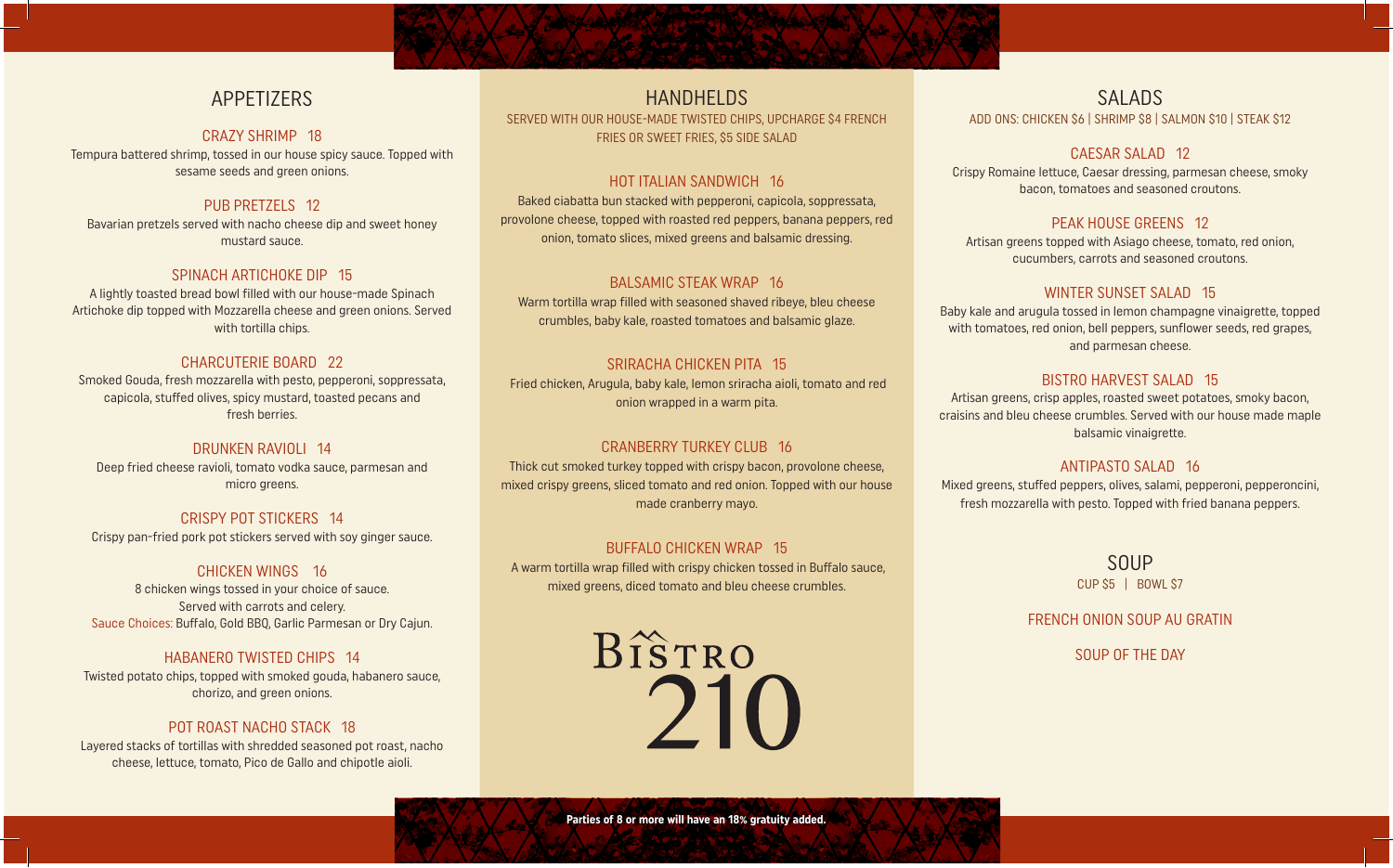# APPETIZERS

#### CRAZY SHRIMP 18

Tempura battered shrimp, tossed in our house spicy sauce. Topped with sesame seeds and green onions.

# PUB PRETZELS 12

Bavarian pretzels served with nacho cheese dip and sweet honey mustard sauce.

# SPINACH ARTICHOKE DIP 15

A lightly toasted bread bowl filled with our house-made Spinach Artichoke dip topped with Mozzarella cheese and green onions. Served with tortilla chips.

### CHARCUTERIE BOARD 22

Smoked Gouda, fresh mozzarella with pesto, pepperoni, soppressata, capicola, stuffed olives, spicy mustard, toasted pecans and fresh berries.

## DRUNKEN RAVIOLI 14

Deep fried cheese ravioli, tomato vodka sauce, parmesan and micro greens.

CRISPY POT STICKERS 14 Crispy pan-fried pork pot stickers served with soy ginger sauce.

#### CHICKEN WINGS 16

8 chicken wings tossed in your choice of sauce. Served with carrots and celery. Sauce Choices: Buffalo, Gold BBQ, Garlic Parmesan or Dry Cajun.

# HABANERO TWISTED CHIPS 14

Twisted potato chips, topped with smoked gouda, habanero sauce, chorizo, and green onions.

### POT ROAST NACHO STACK 18

Layered stacks of tortillas with shredded seasoned pot roast, nacho cheese, lettuce, tomato, Pico de Gallo and chipotle aioli.

HANDHELDS SERVED WITH OUR HOUSE-MADE TWISTED CHIPS, UPCHARGE \$4 FRENCH FRIES OR SWEET FRIES, \$5 SIDE SALAD

# HOT ITALIAN SANDWICH 16

Baked ciabatta bun stacked with pepperoni, capicola, soppressata, provolone cheese, topped with roasted red peppers, banana peppers, red onion, tomato slices, mixed greens and balsamic dressing.

### BALSAMIC STEAK WRAP 16

Warm tortilla wrap filled with seasoned shaved ribeye, bleu cheese crumbles, baby kale, roasted tomatoes and balsamic glaze.

# SRIRACHA CHICKEN PITA 15

 Fried chicken, Arugula, baby kale, lemon sriracha aioli, tomato and red onion wrapped in a warm pita.

### CRANBERRY TURKEY CLUB 16

Thick cut smoked turkey topped with crispy bacon, provolone cheese, mixed crispy greens, sliced tomato and red onion. Topped with our house made cranberry mayo.

### BUFFALO CHICKEN WRAP 15

 A warm tortilla wrap filled with crispy chicken tossed in Buffalo sauce, mixed greens, diced tomato and bleu cheese crumbles.

> BISTRO 210

# SALADS ADD ONS: CHICKEN \$6 | SHRIMP \$8 | SALMON \$10 | STEAK \$12

# CAESAR SALAD 12

Crispy Romaine lettuce, Caesar dressing, parmesan cheese, smoky bacon, tomatoes and seasoned croutons.

# PEAK HOUSE GREENS 12

Artisan greens topped with Asiago cheese, tomato, red onion, cucumbers, carrots and seasoned croutons.

# WINTER SUNSET SALAD 15

Baby kale and arugula tossed in lemon champagne vinaigrette, topped with tomatoes, red onion, bell peppers, sunflower seeds, red grapes, and parmesan cheese.

# BISTRO HARVEST SALAD 15

Artisan greens, crisp apples, roasted sweet potatoes, smoky bacon, craisins and bleu cheese crumbles. Served with our house made maple balsamic vinaigrette.

### ANTIPASTO SALAD 16

Mixed greens, stuffed peppers, olives, salami, pepperoni, pepperoncini, fresh mozzarella with pesto. Topped with fried banana peppers.

> SOUP CUP \$5 | BOWL \$7

FRENCH ONION SOUP AU GRATIN

SOUP OF THE DAY